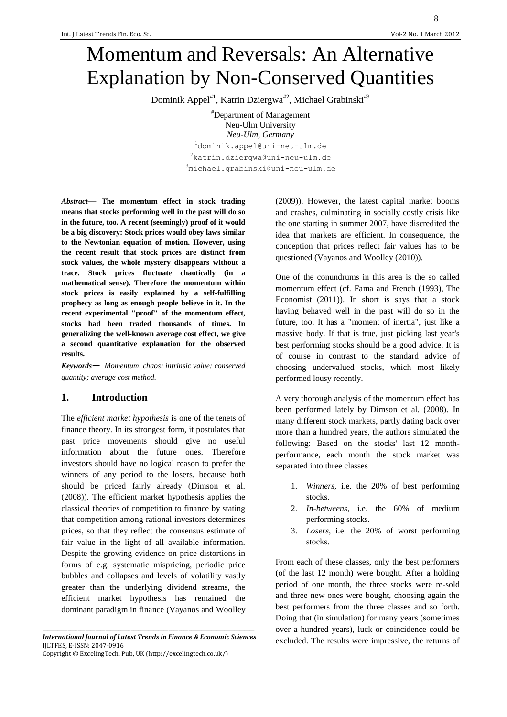8

# Momentum and Reversals: An Alternative Explanation by Non-Conserved Quantities

Dominik Appel<sup>#1</sup>, Katrin Dziergwa<sup>#2</sup>, Michael Grabinski<sup>#3</sup>

#Department of Management Neu-Ulm University *Neu-Ulm, Germany* <sup>1</sup>dominik.appel@uni-neu-ulm.de <sup>2</sup>katrin.dziergwa@uni-neu-ulm.de <sup>3</sup>michael.grabinski@uni-neu-ulm.de

*Abstract*— **The momentum effect in stock trading means that stocks performing well in the past will do so in the future, too. A recent (seemingly) proof of it would be a big discovery: Stock prices would obey laws similar to the Newtonian equation of motion. However, using the recent result that stock prices are distinct from stock values, the whole mystery disappears without a trace. Stock prices fluctuate chaotically (in a mathematical sense). Therefore the momentum within stock prices is easily explained by a self-fulfilling prophecy as long as enough people believe in it. In the recent experimental "proof" of the momentum effect, stocks had been traded thousands of times. In generalizing the well-known average cost effect, we give a second quantitative explanation for the observed results.**

*Keywords*— *Momentum, chaos; intrinsic value; conserved quantity; average cost method.*

## **1. Introduction**

The *efficient market hypothesis* is one of the tenets of finance theory. In its strongest form, it postulates that past price movements should give no useful information about the future ones. Therefore investors should have no logical reason to prefer the winners of any period to the losers, because both should be priced fairly already (Dimson et al. (2008)). The efficient market hypothesis applies the classical theories of competition to finance by stating that competition among rational investors determines prices, so that they reflect the consensus estimate of fair value in the light of all available information. Despite the growing evidence on price distortions in forms of e.g. systematic mispricing, periodic price bubbles and collapses and levels of volatility vastly greater than the underlying dividend streams, the efficient market hypothesis has remained the dominant paradigm in finance (Vayanos and Woolley

\_\_\_\_\_\_\_\_\_\_\_\_\_\_\_\_\_\_\_\_\_\_\_\_\_\_\_\_\_\_\_\_\_\_\_\_\_\_\_\_\_\_\_\_\_\_\_\_\_\_\_\_\_\_\_\_\_\_\_\_\_\_\_\_\_\_\_\_\_\_\_\_\_\_\_\_\_\_\_\_\_\_\_\_ *International Journal of Latest Trends in Finance & Economic Sciences* IJLTFES, E-ISSN: 2047-0916

Copyright © ExcelingTech, Pub, UK [\(http://excelingtech.co.uk/\)](http://excelingtech.co.uk/)

(2009)). However, the latest capital market booms and crashes, culminating in socially costly crisis like the one starting in summer 2007, have discredited the idea that markets are efficient. In consequence, the conception that prices reflect fair values has to be questioned (Vayanos and Woolley (2010)).

One of the conundrums in this area is the so called momentum effect (cf. Fama and French (1993), The Economist (2011)). In short is says that a stock having behaved well in the past will do so in the future, too. It has a "moment of inertia", just like a massive body. If that is true, just picking last year's best performing stocks should be a good advice. It is of course in contrast to the standard advice of choosing undervalued stocks, which most likely performed lousy recently.

A very thorough analysis of the momentum effect has been performed lately by Dimson et al. (2008). In many different stock markets, partly dating back over more than a hundred years, the authors simulated the following: Based on the stocks' last 12 monthperformance, each month the stock market was separated into three classes

- 1. *Winners*, i.e. the 20% of best performing stocks.
- 2. *In-betweens*, i.e. the 60% of medium performing stocks.
- 3. *Losers*, i.e. the 20% of worst performing stocks.

From each of these classes, only the best performers (of the last 12 month) were bought. After a holding period of one month, the three stocks were re-sold and three new ones were bought, choosing again the best performers from the three classes and so forth. Doing that (in simulation) for many years (sometimes over a hundred years), luck or coincidence could be excluded. The results were impressive, the returns of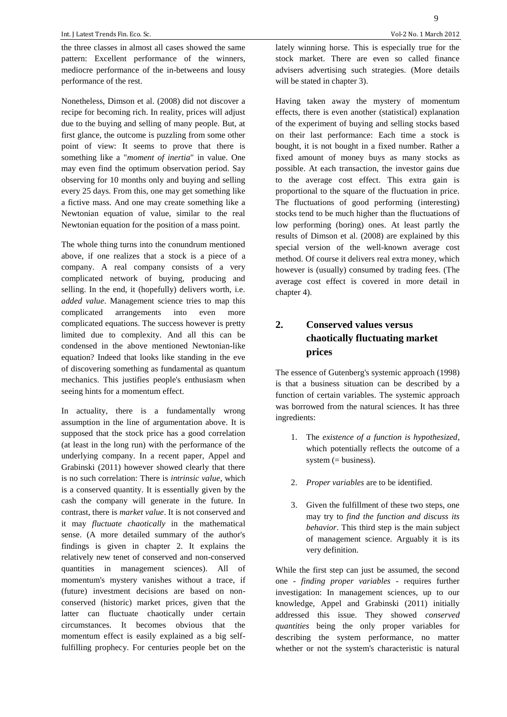the three classes in almost all cases showed the same pattern: Excellent performance of the winners, mediocre performance of the in-betweens and lousy performance of the rest.

Nonetheless, Dimson et al. (2008) did not discover a recipe for becoming rich. In reality, prices will adjust due to the buying and selling of many people. But, at first glance, the outcome is puzzling from some other point of view: It seems to prove that there is something like a "*moment of inertia*" in value. One may even find the optimum observation period. Say observing for 10 months only and buying and selling every 25 days. From this, one may get something like a fictive mass. And one may create something like a Newtonian equation of value, similar to the real Newtonian equation for the position of a mass point.

The whole thing turns into the conundrum mentioned above, if one realizes that a stock is a piece of a company. A real company consists of a very complicated network of buying, producing and selling. In the end, it (hopefully) delivers worth, i.e. *added value*. Management science tries to map this complicated arrangements into even more complicated equations. The success however is pretty limited due to complexity. And all this can be condensed in the above mentioned Newtonian-like equation? Indeed that looks like standing in the eve of discovering something as fundamental as quantum mechanics. This justifies people's enthusiasm when seeing hints for a momentum effect.

In actuality, there is a fundamentally wrong assumption in the line of argumentation above. It is supposed that the stock price has a good correlation (at least in the long run) with the performance of the underlying company. In a recent paper, Appel and Grabinski (2011) however showed clearly that there is no such correlation: There is *intrinsic value*, which is a conserved quantity. It is essentially given by the cash the company will generate in the future. In contrast, there is *market value*. It is not conserved and it may *fluctuate chaotically* in the mathematical sense. (A more detailed summary of the author's findings is given in chapter 2. It explains the relatively new tenet of conserved and non-conserved quantities in management sciences). All of momentum's mystery vanishes without a trace, if (future) investment decisions are based on nonconserved (historic) market prices, given that the latter can fluctuate chaotically under certain circumstances. It becomes obvious that the momentum effect is easily explained as a big selffulfilling prophecy. For centuries people bet on the Having taken away the mystery of momentum effects, there is even another (statistical) explanation of the experiment of buying and selling stocks based on their last performance: Each time a stock is bought, it is not bought in a fixed number. Rather a fixed amount of money buys as many stocks as possible. At each transaction, the investor gains due to the average cost effect. This extra gain is proportional to the square of the fluctuation in price. The fluctuations of good performing (interesting) stocks tend to be much higher than the fluctuations of low performing (boring) ones. At least partly the results of Dimson et al. (2008) are explained by this special version of the well-known average cost method. Of course it delivers real extra money, which however is (usually) consumed by trading fees. (The average cost effect is covered in more detail in chapter 4).

# **2. Conserved values versus chaotically fluctuating market prices**

The essence of Gutenberg's systemic approach (1998) is that a business situation can be described by a function of certain variables. The systemic approach was borrowed from the natural sciences. It has three ingredients:

- 1. The *existence of a function is hypothesized*, which potentially reflects the outcome of a system (= business).
- 2. *Proper variables* are to be identified.
- 3. Given the fulfillment of these two steps, one may try to *find the function and discuss its behavior*. This third step is the main subject of management science. Arguably it is its very definition.

While the first step can just be assumed, the second one - *finding proper variables* - requires further investigation: In management sciences, up to our knowledge, Appel and Grabinski (2011) initially addressed this issue. They showed *conserved quantities* being the only proper variables for describing the system performance, no matter whether or not the system's characteristic is natural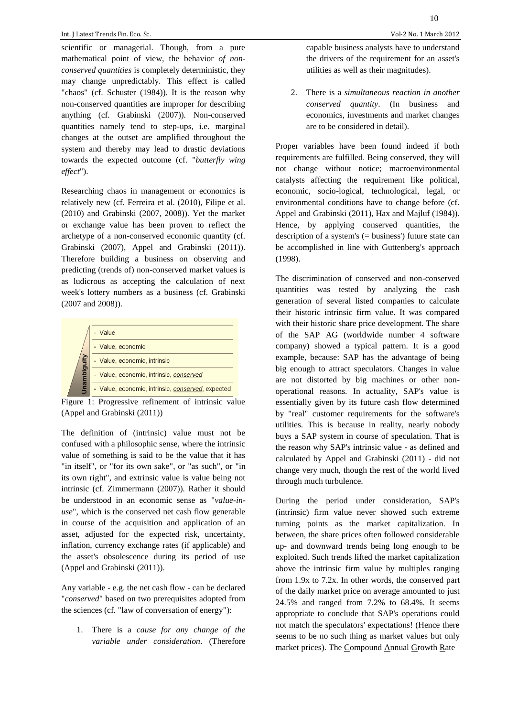10

scientific or managerial. Though, from a pure mathematical point of view, the behavior *of nonconserved quantities* is completely deterministic, they may change unpredictably. This effect is called "chaos" (cf. Schuster (1984)). It is the reason why non-conserved quantities are improper for describing anything (cf. Grabinski (2007)). Non-conserved quantities namely tend to step-ups, i.e. marginal changes at the outset are amplified throughout the system and thereby may lead to drastic deviations towards the expected outcome (cf. "*butterfly wing effect*").

Researching chaos in management or economics is relatively new (cf. Ferreira et al. (2010), Filipe et al. (2010) and Grabinski (2007, 2008)). Yet the market or exchange value has been proven to reflect the archetype of a non-conserved economic quantity (cf. Grabinski (2007), Appel and Grabinski (2011)). Therefore building a business on observing and predicting (trends of) non-conserved market values is as ludicrous as accepting the calculation of next week's lottery numbers as a business (cf. Grabinski (2007 and 2008)).

| - Value                                           |
|---------------------------------------------------|
| - Value, economic                                 |
| - Value, economic, intrinsic                      |
| - Value, economic, intrinsic, conserved           |
| - Value, economic, intrinsic, conserved, expected |
|                                                   |

Figure 1: Progressive refinement of intrinsic value (Appel and Grabinski (2011))

The definition of (intrinsic) value must not be confused with a philosophic sense, where the intrinsic value of something is said to be the value that it has "in itself", or "for its own sake", or "as such", or "in its own right", and extrinsic value is value being not intrinsic (cf. Zimmermann (2007)). Rather it should be understood in an economic sense as "*value-inuse*", which is the conserved net cash flow generable in course of the acquisition and application of an asset, adjusted for the expected risk, uncertainty, inflation, currency exchange rates (if applicable) and the asset's obsolescence during its period of use (Appel and Grabinski (2011)).

Any variable - e.g. the net cash flow - can be declared "*conserved*" based on two prerequisites adopted from the sciences (cf. "law of conversation of energy"):

1. There is a *cause for any change of the variable under consideration*. (Therefore capable business analysts have to understand the drivers of the requirement for an asset's utilities as well as their magnitudes).

2. There is a *simultaneous reaction in another conserved quantity*. (In business and economics, investments and market changes are to be considered in detail).

Proper variables have been found indeed if both requirements are fulfilled. Being conserved, they will not change without notice; macroenvironmental catalysts affecting the requirement like political, economic, socio-logical, technological, legal, or environmental conditions have to change before (cf. Appel and Grabinski (2011), Hax and Majluf (1984)). Hence, by applying conserved quantities, the description of a system's (= business') future state can be accomplished in line with Guttenberg's approach (1998).

The discrimination of conserved and non-conserved quantities was tested by analyzing the cash generation of several listed companies to calculate their historic intrinsic firm value. It was compared with their historic share price development. The share of the SAP AG (worldwide number 4 software company) showed a typical pattern. It is a good example, because: SAP has the advantage of being big enough to attract speculators. Changes in value are not distorted by big machines or other nonoperational reasons. In actuality, SAP's value is essentially given by its future cash flow determined by "real" customer requirements for the software's utilities. This is because in reality, nearly nobody buys a SAP system in course of speculation. That is the reason why SAP's intrinsic value - as defined and calculated by Appel and Grabinski (2011) - did not change very much, though the rest of the world lived through much turbulence.

During the period under consideration, SAP's (intrinsic) firm value never showed such extreme turning points as the market capitalization. In between, the share prices often followed considerable up- and downward trends being long enough to be exploited. Such trends lifted the market capitalization above the intrinsic firm value by multiples ranging from 1.9x to 7.2x. In other words, the conserved part of the daily market price on average amounted to just 24.5% and ranged from 7.2% to 68.4%. It seems appropriate to conclude that SAP's operations could not match the speculators' expectations! (Hence there seems to be no such thing as market values but only market prices). The Compound Annual Growth Rate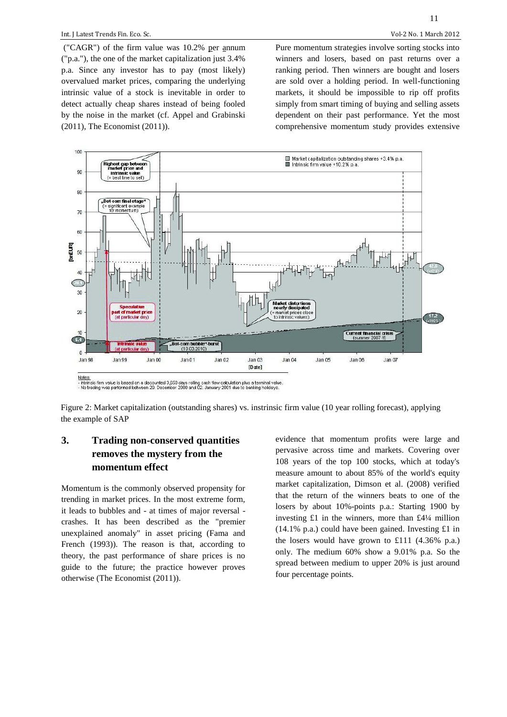("CAGR") of the firm value was 10.2% per annum ("p.a."), the one of the market capitalization just 3.4% p.a. Since any investor has to pay (most likely) overvalued market prices, comparing the underlying intrinsic value of a stock is inevitable in order to detect actually cheap shares instead of being fooled by the noise in the market (cf. Appel and Grabinski (2011), The Economist (2011)).

Pure momentum strategies involve sorting stocks into winners and losers, based on past returns over a ranking period. Then winners are bought and losers are sold over a holding period. In well-functioning markets, it should be impossible to rip off profits simply from smart timing of buying and selling assets dependent on their past performance. Yet the most comprehensive momentum study provides extensive



Figure 2: Market capitalization (outstanding shares) vs. instrinsic firm value (10 year rolling forecast), applying the example of SAP

# **3. Trading non-conserved quantities removes the mystery from the momentum effect**

Momentum is the commonly observed propensity for trending in market prices. In the most extreme form, it leads to bubbles and - at times of major reversal crashes. It has been described as the "premier unexplained anomaly" in asset pricing (Fama and French (1993)). The reason is that, according to theory, the past performance of share prices is no guide to the future; the practice however proves otherwise (The Economist (2011)).

evidence that momentum profits were large and pervasive across time and markets. Covering over 108 years of the top 100 stocks, which at today's measure amount to about 85% of the world's equity market capitalization, Dimson et al. (2008) verified that the return of the winners beats to one of the losers by about 10%-points p.a.: Starting 1900 by investing £1 in the winners, more than £4¼ million  $(14.1\% \text{ p.a.})$  could have been gained. Investing £1 in the losers would have grown to £111 (4.36% p.a.) only. The medium 60% show a 9.01% p.a. So the spread between medium to upper 20% is just around four percentage points.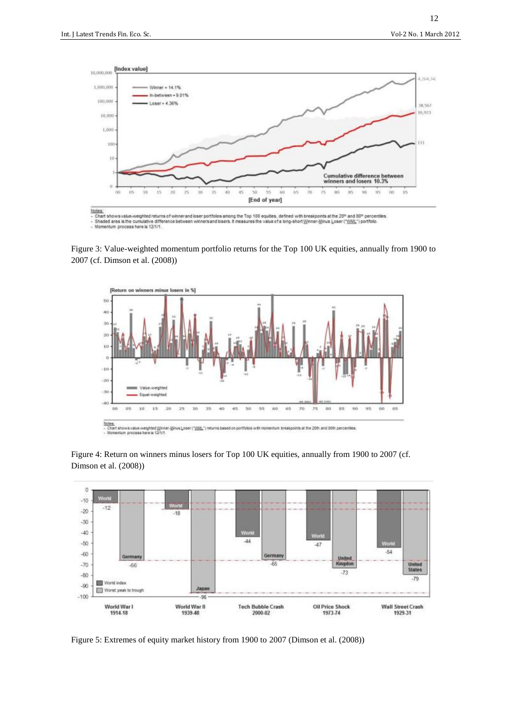

Figure 3: Value-weighted momentum portfolio returns for the Top 100 UK equities, annually from 1900 to 2007 (cf. Dimson et al. (2008))



Figure 4: Return on winners minus losers for Top 100 UK equities, annually from 1900 to 2007 (cf. Dimson et al. (2008))



Figure 5: Extremes of equity market history from 1900 to 2007 (Dimson et al. (2008))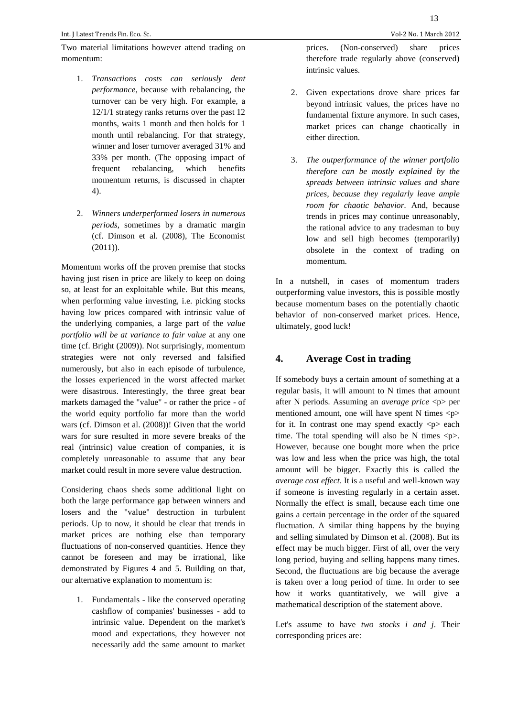13

Two material limitations however attend trading on momentum:

- 1. *Transactions costs can seriously dent performance*, because with rebalancing, the turnover can be very high. For example, a 12/1/1 strategy ranks returns over the past 12 months, waits 1 month and then holds for 1 month until rebalancing. For that strategy, winner and loser turnover averaged 31% and 33% per month. (The opposing impact of frequent rebalancing, which benefits momentum returns, is discussed in chapter 4).
- 2. *Winners underperformed losers in numerous periods*, sometimes by a dramatic margin (cf. Dimson et al. (2008), The Economist  $(2011)$ ).

Momentum works off the proven premise that stocks having just risen in price are likely to keep on doing so, at least for an exploitable while. But this means, when performing value investing, i.e. picking stocks having low prices compared with intrinsic value of the underlying companies, a large part of the *value portfolio will be at variance to fair value* at any one time (cf. Bright (2009)). Not surprisingly, momentum strategies were not only reversed and falsified numerously, but also in each episode of turbulence, the losses experienced in the worst affected market were disastrous. Interestingly, the three great bear markets damaged the "value" - or rather the price - of the world equity portfolio far more than the world wars (cf. Dimson et al. (2008))! Given that the world wars for sure resulted in more severe breaks of the real (intrinsic) value creation of companies, it is completely unreasonable to assume that any bear market could result in more severe value destruction.

Considering chaos sheds some additional light on both the large performance gap between winners and losers and the "value" destruction in turbulent periods. Up to now, it should be clear that trends in market prices are nothing else than temporary fluctuations of non-conserved quantities. Hence they cannot be foreseen and may be irrational, like demonstrated by Figures 4 and 5. Building on that, our alternative explanation to momentum is:

1. Fundamentals - like the conserved operating cashflow of companies' businesses - add to intrinsic value. Dependent on the market's mood and expectations, they however not necessarily add the same amount to market

prices. (Non-conserved) share prices therefore trade regularly above (conserved) intrinsic values.

- 2. Given expectations drove share prices far beyond intrinsic values, the prices have no fundamental fixture anymore. In such cases, market prices can change chaotically in either direction.
- 3. *The outperformance of the winner portfolio therefore can be mostly explained by the spreads between intrinsic values and share prices, because they regularly leave ample room for chaotic behavior.* And, because trends in prices may continue unreasonably, the rational advice to any tradesman to buy low and sell high becomes (temporarily) obsolete in the context of trading on momentum.

In a nutshell, in cases of momentum traders outperforming value investors, this is possible mostly because momentum bases on the potentially chaotic behavior of non-conserved market prices. Hence, ultimately, good luck!

## **4. Average Cost in trading**

If somebody buys a certain amount of something at a regular basis, it will amount to N times that amount after N periods. Assuming an *average price* <p> per mentioned amount, one will have spent N times  $\langle p \rangle$ for it. In contrast one may spend exactly  $\langle p \rangle$  each time. The total spending will also be N times  $\langle p \rangle$ . However, because one bought more when the price was low and less when the price was high, the total amount will be bigger. Exactly this is called the *average cost effect*. It is a useful and well-known way if someone is investing regularly in a certain asset. Normally the effect is small, because each time one gains a certain percentage in the order of the squared fluctuation. A similar thing happens by the buying and selling simulated by Dimson et al. (2008). But its effect may be much bigger. First of all, over the very long period, buying and selling happens many times. Second, the fluctuations are big because the average is taken over a long period of time. In order to see how it works quantitatively, we will give a mathematical description of the statement above.

Let's assume to have *two stocks i and j*. Their corresponding prices are: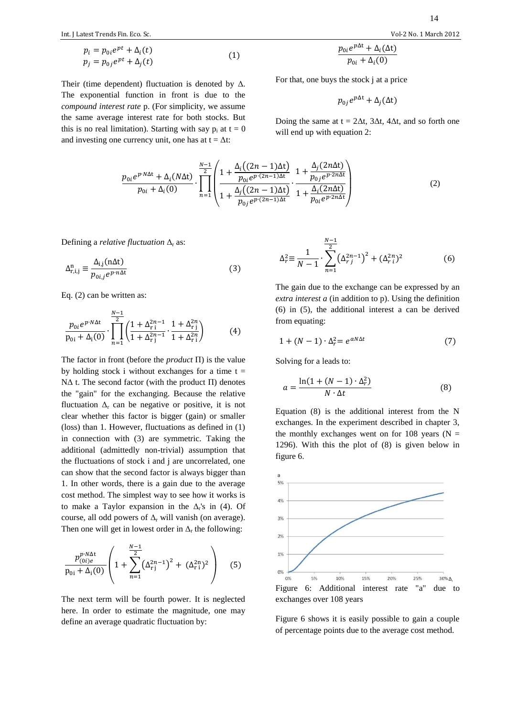$$
p_i = p_{0i}e^{pt} + \Delta_i(t)
$$
  
\n
$$
p_j = p_{0j}e^{pt} + \Delta_j(t)
$$
\n(1)

Their (time dependent) fluctuation is denoted by  $\Delta$ . The exponential function in front is due to the *compound interest rate* p. (For simplicity, we assume the same average interest rate for both stocks. But this is no real limitation). Starting with say  $p_i$  at  $t = 0$ and investing one currency unit, one has at  $t = \Delta t$ :

$$
p_{0i}e^{p\Delta t} + \Delta_i(\Delta t)
$$

For that, one buys the stock 
$$
j
$$
 at a price.

$$
p_{0j}e^{p\Delta t} + \Delta_i(\Delta t)
$$

 $p_{0i} + \Delta_i(0)$ 

Doing the same at  $t = 2\Delta t$ ,  $3\Delta t$ ,  $4\Delta t$ , and so forth one will end up with equation 2:

$$
\frac{p_{0i}e^{p\cdot N\Delta t} + \Delta_i(N\Delta t)}{p_{0i} + \Delta_i(0)} \cdot \prod_{n=1}^{N-1} \left( \frac{1 + \frac{\Delta_i((2n-1)\Delta t)}{p_{0i}e^{p\cdot (2n-1)\Delta t}}}{1 + \frac{\Delta_j((2n-1)\Delta t)}{p_{0j}e^{p\cdot (2n-1)\Delta t}}} \cdot \frac{1 + \frac{\Delta_j(2n\Delta t)}{p_{0j}e^{p\cdot 2n\Delta t}}}{1 + \frac{\Delta_i(2n\Delta t)}{p_{0i}e^{p\cdot 2n\Delta t}}} \right) \tag{2}
$$

Defining a *relative fluctuation*  $\Delta_{\rm r}$  as:

$$
\Delta_{\mathrm{r},i,j}^{\mathrm{n}} \equiv \frac{\Delta_{\mathrm{i},j}(\mathrm{n}\Delta t)}{p_{0i,j}e^{\nu\mathrm{n}\Delta t}}\tag{3}
$$

Eq. (2) can be written as:

$$
\frac{p_{0i}e^{p\cdot N\Delta t}}{p_{0i} + \Delta_i(0)} \cdot \prod_{n=1}^{N-1} \left(\frac{1 + \Delta_{r_i}^{2n-1}}{1 + \Delta_{r_i}^{2n-1}} \cdot \frac{1 + \Delta_{r_i}^{2n}}{1 + \Delta_{r_i}^{2n}}\right)
$$
(4)

The factor in front (before the *product* Π) is the value by holding stock i without exchanges for a time  $t =$ NΔ t. The second factor (with the product  $\Pi$ ) denotes the "gain" for the exchanging. Because the relative fluctuation  $\Delta_r$  can be negative or positive, it is not clear whether this factor is bigger (gain) or smaller (loss) than 1. However, fluctuations as defined in (1) in connection with (3) are symmetric. Taking the additional (admittedly non-trivial) assumption that the fluctuations of stock i and j are uncorrelated, one can show that the second factor is always bigger than 1. In other words, there is a gain due to the average cost method. The simplest way to see how it works is to make a Taylor expansion in the  $\Delta_{r}$ 's in (4). Of course, all odd powers of  $\Delta_r$  will vanish (on average). Then one will get in lowest order in  $\Delta_r$  the following:

$$
\frac{p_{(0i)e}^{p \cdot N\Delta t}}{p_{0i} + \Delta_i(0)} \left(1 + \sum_{n=1}^{N-1} \left(\Delta_{rj}^{2n-1}\right)^2 + \left(\Delta_{r1}^{2n}\right)^2\right) \tag{5}
$$

The next term will be fourth power. It is neglected here. In order to estimate the magnitude, one may define an average quadratic fluctuation by:

$$
\Delta_r^2 \equiv \frac{1}{N-1} \cdot \sum_{n=1}^{\frac{N-1}{2}} \left(\Delta_r^{2n-1}\right)^2 + \left(\Delta_r^{2n}\right)^2 \tag{6}
$$

The gain due to the exchange can be expressed by an *extra interest a* (in addition to p). Using the definition (6) in (5), the additional interest a can be derived from equating:

$$
1 + (N - 1) \cdot \Delta_r^2 = e^{aN\Delta t} \tag{7}
$$

Solving for a leads to:

$$
a = \frac{\ln(1 + (N - 1) \cdot \Delta_r^2)}{N \cdot \Delta t}
$$
 (8)

Equation (8) is the additional interest from the N exchanges. In the experiment described in chapter 3, the monthly exchanges went on for 108 years ( $N =$ 1296). With this the plot of (8) is given below in figure 6.



Figure 6 shows it is easily possible to gain a couple of percentage points due to the average cost method.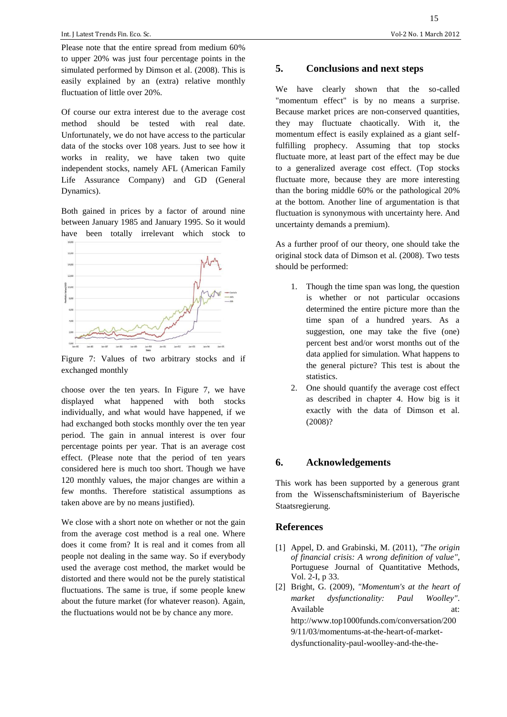Please note that the entire spread from medium 60% to upper 20% was just four percentage points in the simulated performed by Dimson et al. (2008). This is easily explained by an (extra) relative monthly fluctuation of little over 20%.

Of course our extra interest due to the average cost method should be tested with real date. Unfortunately, we do not have access to the particular data of the stocks over 108 years. Just to see how it works in reality, we have taken two quite independent stocks, namely AFL (American Family Life Assurance Company) and GD (General Dynamics).

Both gained in prices by a factor of around nine between January 1985 and January 1995. So it would have been totally irrelevant which stock to



Figure 7: Values of two arbitrary stocks and if exchanged monthly

choose over the ten years. In Figure 7, we have displayed what happened with both stocks individually, and what would have happened, if we had exchanged both stocks monthly over the ten year period. The gain in annual interest is over four percentage points per year. That is an average cost effect. (Please note that the period of ten years considered here is much too short. Though we have 120 monthly values, the major changes are within a few months. Therefore statistical assumptions as taken above are by no means justified).

We close with a short note on whether or not the gain from the average cost method is a real one. Where does it come from? It is real and it comes from all people not dealing in the same way. So if everybody used the average cost method, the market would be distorted and there would not be the purely statistical fluctuations. The same is true, if some people knew about the future market (for whatever reason). Again, the fluctuations would not be by chance any more.

# **5. Conclusions and next steps**

We have clearly shown that the so-called "momentum effect" is by no means a surprise. Because market prices are non-conserved quantities, they may fluctuate chaotically. With it, the momentum effect is easily explained as a giant selffulfilling prophecy. Assuming that top stocks fluctuate more, at least part of the effect may be due to a generalized average cost effect. (Top stocks fluctuate more, because they are more interesting than the boring middle 60% or the pathological 20% at the bottom. Another line of argumentation is that fluctuation is synonymous with uncertainty here. And uncertainty demands a premium).

As a further proof of our theory, one should take the original stock data of Dimson et al. (2008). Two tests should be performed:

- 1. Though the time span was long, the question is whether or not particular occasions determined the entire picture more than the time span of a hundred years. As a suggestion, one may take the five (one) percent best and/or worst months out of the data applied for simulation. What happens to the general picture? This test is about the statistics.
- 2. One should quantify the average cost effect as described in chapter 4. How big is it exactly with the data of Dimson et al. (2008)?

## **6. Acknowledgements**

This work has been supported by a generous grant from the Wissenschaftsministerium of Bayerische Staatsregierung.

## **References**

- [1] Appel, D. and Grabinski, M. (2011), *"The origin of financial crisis: A wrong definition of value"*, Portuguese Journal of Quantitative Methods, Vol. 2-I, p 33.
- [2] Bright, G. (2009), *"Momentum's at the heart of market dysfunctionality: Paul Woolley"*. Available at: at: http://www.top1000funds.com/conversation/200 9/11/03/momentums-at-the-heart-of-marketdysfunctionality-paul-woolley-and-the-the-